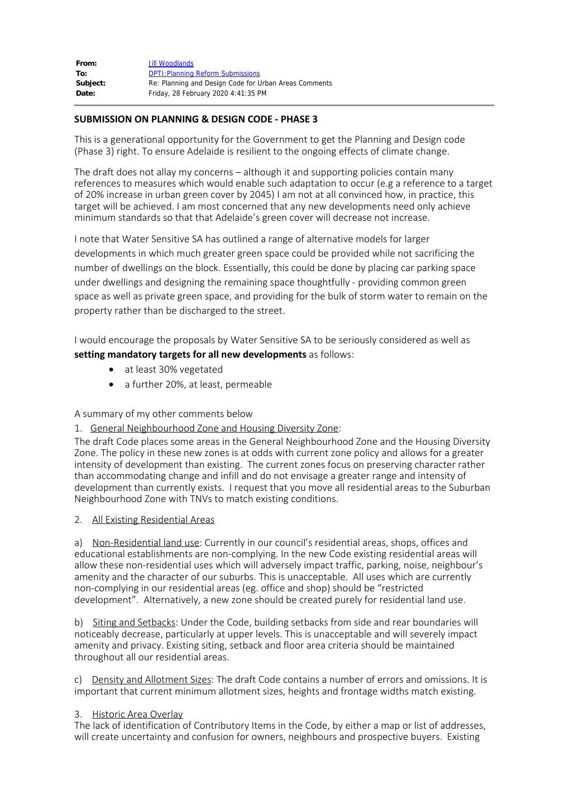| From:    | Jill Woodlands                                        |
|----------|-------------------------------------------------------|
| To:      | <b>DPTI: Planning Reform Submissions</b>              |
| Subject: | Re: Planning and Design Code for Urban Areas Comments |
| Date:    | Friday, 28 February 2020 4:41:35 PM                   |

### **SUBMISSION ON PLANNING & DESIGN CODE - PHASE 3**

This is a generational opportunity for the Government to get the Planning and Design code (Phase 3) right. To ensure Adelaide is resilient to the ongoing effects of climate change.

The draft does not allay my concerns – although it and supporting policies contain many references to measures which would enable such adaptation to occur (e.g a reference to a target of 20% increase in urban green cover by 2045) I am not at all convinced how, in practice, this target will be achieved. I am most concerned that any new developments need only achieve minimum standards so that that Adelaide's green cover will decrease not increase.

I note that Water Sensitive SA has outlined a range of alternative models for larger developments in which much greater green space could be provided while not sacrificing the number of dwellings on the block. Essentially, this could be done by placing car parking space under dwellings and designing the remaining space thoughtfully - providing common green space as well as private green space, and providing for the bulk of storm water to remain on the property rather than be discharged to the street.

I would encourage the proposals by Water Sensitive SA to be seriously considered as well as **setting mandatory targets for all new developments** as follows:

- at least 30% vegetated
- a further 20%, at least, permeable

#### A summary of my other comments below

#### 1. General Neighbourhood Zone and Housing Diversity Zone:

The draft Code places some areas in the General Neighbourhood Zone and the Housing Diversity Zone. The policy in these new zones is at odds with current zone policy and allows for a greater intensity of development than existing. The current zones focus on preserving character rather than accommodating change and infill and do not envisage a greater range and intensity of development than currently exists. I request that you move all residential areas to the Suburban Neighbourhood Zone with TNVs to match existing conditions.

#### 2. All Existing Residential Areas

a) Non-Residential land use: Currently in our council's residential areas, shops, offices and educational establishments are non-complying. In the new Code existing residential areas will allow these non-residential uses which will adversely impact traffic, parking, noise, neighbour's amenity and the character of our suburbs. This is unacceptable. All uses which are currently non-complying in our residential areas (eg. office and shop) should be "restricted development". Alternatively, a new zone should be created purely for residential land use.

b) Siting and Setbacks: Under the Code, building setbacks from side and rear boundaries will noticeably decrease, particularly at upper levels. This is unacceptable and will severely impact amenity and privacy. Existing siting, setback and floor area criteria should be maintained throughout all our residential areas.

c) Density and Allotment Sizes: The draft Code contains a number of errors and omissions. It is important that current minimum allotment sizes, heights and frontage widths match existing.

#### 3. Historic Area Overlay

The lack of identification of Contributory Items in the Code, by either a map or list of addresses, will create uncertainty and confusion for owners, neighbours and prospective buyers. Existing